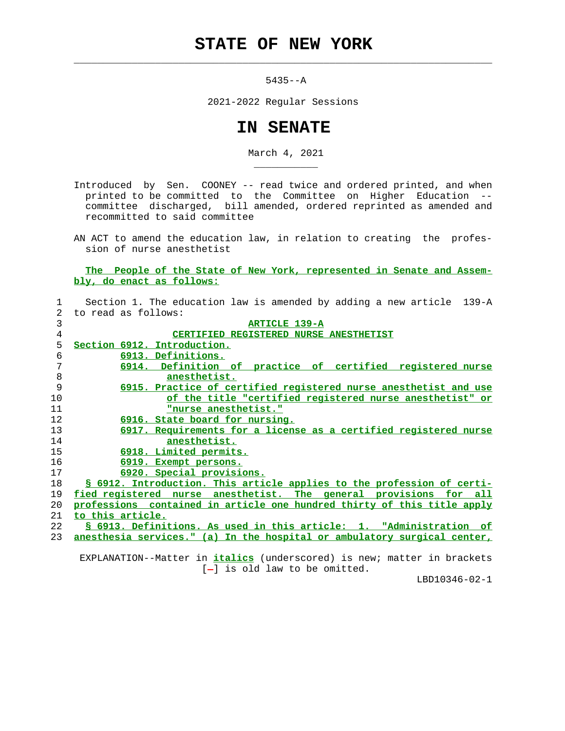## **STATE OF NEW YORK**

 $\mathcal{L}_\text{max} = \frac{1}{2} \sum_{i=1}^{n} \frac{1}{2} \sum_{i=1}^{n} \frac{1}{2} \sum_{i=1}^{n} \frac{1}{2} \sum_{i=1}^{n} \frac{1}{2} \sum_{i=1}^{n} \frac{1}{2} \sum_{i=1}^{n} \frac{1}{2} \sum_{i=1}^{n} \frac{1}{2} \sum_{i=1}^{n} \frac{1}{2} \sum_{i=1}^{n} \frac{1}{2} \sum_{i=1}^{n} \frac{1}{2} \sum_{i=1}^{n} \frac{1}{2} \sum_{i=1}^{n} \frac{1$ 

\_\_\_\_\_\_\_\_\_\_\_

5435--A

2021-2022 Regular Sessions

## **IN SENATE**

March 4, 2021

 Introduced by Sen. COONEY -- read twice and ordered printed, and when printed to be committed to the Committee on Higher Education - committee discharged, bill amended, ordered reprinted as amended and recommitted to said committee

 AN ACT to amend the education law, in relation to creating the profes sion of nurse anesthetist

 **The People of the State of New York, represented in Senate and Assem bly, do enact as follows:**

| $\mathbf{1}$   | Section 1. The education law is amended by adding a new article 139-A    |
|----------------|--------------------------------------------------------------------------|
| $\overline{2}$ | to read as follows:                                                      |
| 3              | <b>ARTICLE 139-A</b>                                                     |
| 4              | CERTIFIED REGISTERED NURSE ANESTHETIST                                   |
| 5              | Section 6912. Introduction.                                              |
| 6              | 6913. Definitions.                                                       |
| 7              | 6914. Definition of practice of certified registered nurse               |
| 8              | anesthetist.                                                             |
| 9              | 6915. Practice of certified registered nurse anesthetist and use         |
| 10             | of the title "certified registered nurse anesthetist" or                 |
| 11             | "nurse anesthetist."                                                     |
| 12             | 6916. State board for nursing.                                           |
| 13             | 6917. Requirements for a license as a certified registered nurse         |
| 14             | anesthetist.                                                             |
| 15             | 6918. Limited permits.                                                   |
| 16             | 6919. Exempt persons.                                                    |
| 17             | 6920. Special provisions.                                                |
| 18             | § 6912. Introduction. This article applies to the profession of certi-   |
| 19             | fied registered nurse anesthetist. The general provisions for all        |
| 20             | professions contained in article one hundred thirty of this title apply  |
| 21             | to this article.                                                         |
| 22             | § 6913. Definitions. As used in this article: 1. "Administration of      |
| 23             | anesthesia services." (a) In the hospital or ambulatory surgical center, |
|                |                                                                          |

 EXPLANATION--Matter in **italics** (underscored) is new; matter in brackets  $[-]$  is old law to be omitted.

LBD10346-02-1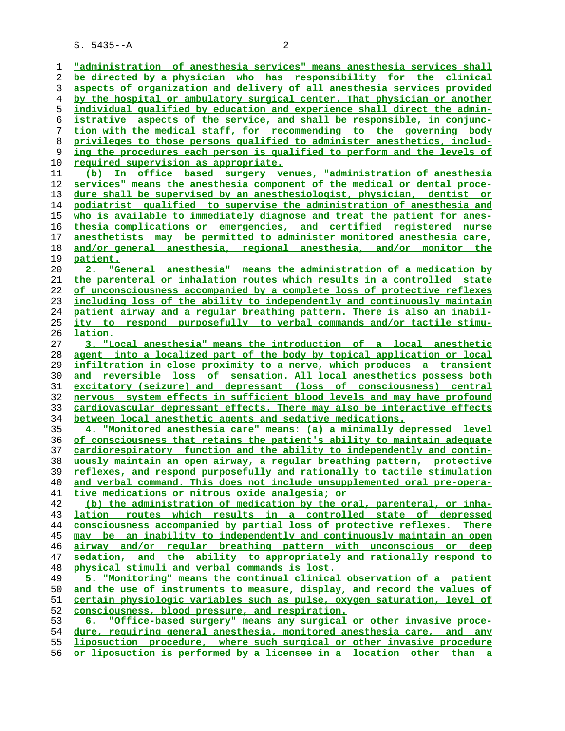**"administration of anesthesia services" means anesthesia services shall be directed by a physician who has responsibility for the clinical aspects of organization and delivery of all anesthesia services provided by the hospital or ambulatory surgical center. That physician or another individual qualified by education and experience shall direct the admin- istrative aspects of the service, and shall be responsible, in conjunc- tion with the medical staff, for recommending to the governing body privileges to those persons qualified to administer anesthetics, includ- ing the procedures each person is qualified to perform and the levels of required supervision as appropriate. (b) In office based surgery venues, "administration of anesthesia services" means the anesthesia component of the medical or dental proce- dure shall be supervised by an anesthesiologist, physician, dentist or podiatrist qualified to supervise the administration of anesthesia and who is available to immediately diagnose and treat the patient for anes- thesia complications or emergencies, and certified registered nurse anesthetists may be permitted to administer monitored anesthesia care, and/or general anesthesia, regional anesthesia, and/or monitor the patient. 2. "General anesthesia" means the administration of a medication by the parenteral or inhalation routes which results in a controlled state of unconsciousness accompanied by a complete loss of protective reflexes including loss of the ability to independently and continuously maintain patient airway and a regular breathing pattern. There is also an inabil- ity to respond purposefully to verbal commands and/or tactile stimu- lation. 3. "Local anesthesia" means the introduction of a local anesthetic agent into a localized part of the body by topical application or local infiltration in close proximity to a nerve, which produces a transient and reversible loss of sensation. All local anesthetics possess both excitatory (seizure) and depressant (loss of consciousness) central nervous system effects in sufficient blood levels and may have profound cardiovascular depressant effects. There may also be interactive effects between local anesthetic agents and sedative medications. 4. "Monitored anesthesia care" means: (a) a minimally depressed level of consciousness that retains the patient's ability to maintain adequate cardiorespiratory function and the ability to independently and contin- uously maintain an open airway, a regular breathing pattern, protective reflexes, and respond purposefully and rationally to tactile stimulation and verbal command. This does not include unsupplemented oral pre-opera- tive medications or nitrous oxide analgesia; or (b) the administration of medication by the oral, parenteral, or inha- lation routes which results in a controlled state of depressed consciousness accompanied by partial loss of protective reflexes. There may be an inability to independently and continuously maintain an open airway and/or regular breathing pattern with unconscious or deep sedation, and the ability to appropriately and rationally respond to physical stimuli and verbal commands is lost. 5. "Monitoring" means the continual clinical observation of a patient and the use of instruments to measure, display, and record the values of certain physiologic variables such as pulse, oxygen saturation, level of consciousness, blood pressure, and respiration. 6. "Office-based surgery" means any surgical or other invasive proce- dure, requiring general anesthesia, monitored anesthesia care, and any liposuction procedure, where such surgical or other invasive procedure or liposuction is performed by a licensee in a location other than a**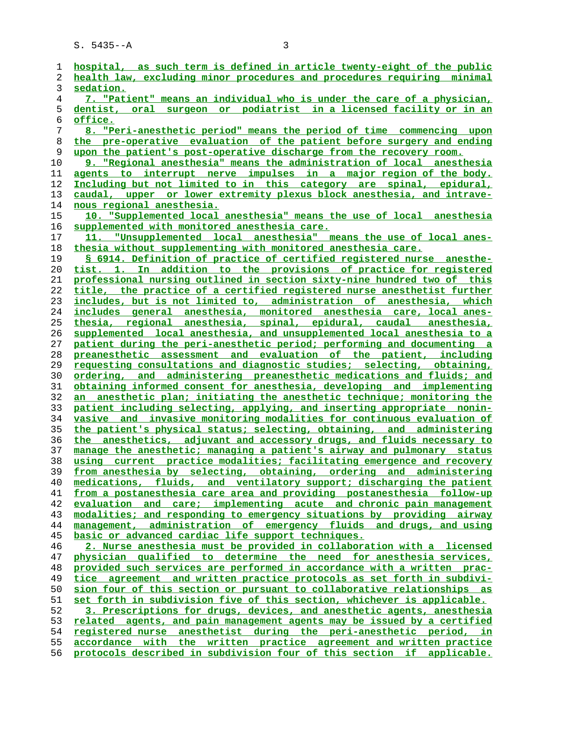| 1              | hospital, as such term is defined in article twenty-eight of the public |
|----------------|-------------------------------------------------------------------------|
| 2              | health law, excluding minor procedures and procedures requiring minimal |
| 3              | sedation.                                                               |
| $\overline{4}$ | 7. "Patient" means an individual who is under the care of a physician,  |
| 5              | dentist, oral surgeon or podiatrist in a licensed facility or in an     |
|                |                                                                         |
| 6              | office.                                                                 |
| 7              | 8. "Peri-anesthetic period" means the period of time commencing upon    |
| 8              | the pre-operative evaluation of the patient before surgery and ending   |
| 9              | upon the patient's post-operative discharge from the recovery room.     |
| 10             | 9. "Regional anesthesia" means the administration of local anesthesia   |
| 11             | agents to interrupt nerve impulses in a major region of the body.       |
| 12             | Including but not limited to in this category are spinal, epidural,     |
|                |                                                                         |
| 13             | caudal, upper or lower extremity plexus block anesthesia, and intrave-  |
| 14             | <u>nous regional anesthesia.</u>                                        |
| 15             | 10. "Supplemented local anesthesia" means the use of local anesthesia   |
| 16             | supplemented with monitored anesthesia care.                            |
| 17             | "Unsupplemented local anesthesia" means the use of local anes-          |
| 18             | thesia without supplementing with monitored anesthesia care.            |
| 19             | \$ 6914. Definition of practice of certified registered nurse anesthe-  |
|                |                                                                         |
| 20             | tist. 1. In addition to the provisions of practice for registered       |
| 21             | professional nursing outlined in section sixty-nine hundred two of this |
| 22             | title, the practice of a certified registered nurse anesthetist further |
| 23             | includes, but is not limited to, administration of anesthesia, which    |
| 24             | includes general anesthesia, monitored anesthesia care, local anes-     |
| 25             | thesia, regional anesthesia, spinal, epidural, caudal anesthesia,       |
| 26             | supplemented local anesthesia, and unsupplemented local anesthesia to a |
| 27             | patient during the peri-anesthetic period; performing and documenting a |
|                |                                                                         |
| 28             | preanesthetic assessment and evaluation of the patient, including       |
| 29             | requesting consultations and diagnostic studies; selecting, obtaining,  |
| 30             | ordering, and administering preanesthetic medications and fluids; and   |
| 31             | obtaining informed consent for anesthesia, developing and implementing  |
| 32             | an anesthetic plan; initiating the anesthetic technique; monitoring the |
| 33             | patient including selecting, applying, and inserting appropriate nonin- |
| 34             | vasive and invasive monitoring modalities for continuous evaluation of  |
| 35             | the patient's physical status; selecting, obtaining, and administering  |
|                |                                                                         |
| 36             | the anesthetics, adjuvant and accessory drugs, and fluids necessary to  |
| 37             | manage the anesthetic; managing a patient's airway and pulmonary status |
| 38             | using current practice modalities; facilitating emergence and recovery  |
| 39             | from anesthesia by selecting, obtaining, ordering and administering     |
| 40             | medications, fluids, and ventilatory support; discharging the patient   |
| 41             | from a postanesthesia care area and providing postanesthesia follow-up  |
| 42             | evaluation and care; implementing acute and chronic pain management     |
| 43             | modalities; and responding to emergency situations by providing airway  |
| 44             | management, administration of emergency fluids and drugs, and using     |
|                |                                                                         |
| 45             | basic or advanced cardiac life support techniques.                      |
| 46             | 2. Nurse anesthesia must be provided in collaboration with a licensed   |
| 47             | physician qualified to determine the need for anesthesia services,      |
| 48             | provided such services are performed in accordance with a written prac- |
| 49             | tice agreement and written practice protocols as set forth in subdivi-  |
| 50             | sion four of this section or pursuant to collaborative relationships as |
| 51             | set forth in subdivision five of this section, whichever is applicable. |
| 52             | 3. Prescriptions for drugs, devices, and anesthetic agents, anesthesia  |
|                |                                                                         |
| 53             | related agents, and pain management agents may be issued by a certified |
| 54             | registered nurse anesthetist during the peri-anesthetic period, in      |
| 55             | accordance with the written practice agreement and written practice     |
| 56             | protocols described in subdivision four of this section if applicable.  |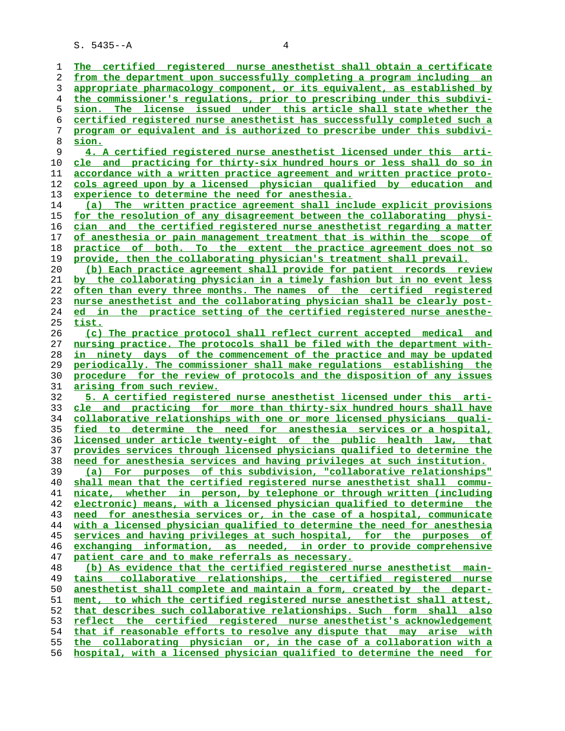| 1        | The certified registered nurse anesthetist shall obtain a certificate                                                                            |
|----------|--------------------------------------------------------------------------------------------------------------------------------------------------|
| 2        | from the department upon successfully completing a program including an                                                                          |
| 3        | appropriate pharmacology component, or its equivalent, as established by                                                                         |
| 4        | the commissioner's regulations, prior to prescribing under this subdivi-                                                                         |
| 5        | sion. The license issued under this article shall state whether the                                                                              |
| 6        | <u>certified registered nurse anesthetist has successfully completed such a</u>                                                                  |
| 7        | program or equivalent and is authorized to prescribe under this subdivi-                                                                         |
| 8        | sion.                                                                                                                                            |
| 9        | 4. A certified registered nurse anesthetist licensed under this arti-                                                                            |
| 10       | cle and practicing for thirty-six hundred hours or less shall do so in                                                                           |
| 11       | accordance with a written practice agreement and written practice proto-                                                                         |
| 12       | cols agreed upon by a licensed physician qualified by education and                                                                              |
| 13       | experience to determine the need for anesthesia.                                                                                                 |
| 14       | (a) The written practice agreement shall include explicit provisions                                                                             |
| 15       | for the resolution of any disagreement between the collaborating physi-                                                                          |
| 16       | cian and the certified registered nurse anesthetist regarding a matter                                                                           |
| 17       | of anesthesia or pain management treatment that is within the scope of                                                                           |
| 18       | practice of both. To the extent the practice agreement does not so                                                                               |
| 19       | provide, then the collaborating physician's treatment shall prevail.                                                                             |
| 20       | (b) Each practice agreement shall provide for patient records review                                                                             |
| 21       | by the collaborating physician in a timely fashion but in no event less                                                                          |
| 22       | often than every three months. The names of the certified registered                                                                             |
| 23       | nurse anesthetist and the collaborating physician shall be clearly post-                                                                         |
| 24       | ed in the practice setting of the certified registered nurse anesthe-                                                                            |
| 25       | <u>tist.</u>                                                                                                                                     |
| 26       | (c) The practice protocol shall reflect current accepted medical and                                                                             |
| 27       | nursing practice. The protocols shall be filed with the department with-                                                                         |
|          |                                                                                                                                                  |
| 28       | in ninety days of the commencement of the practice and may be updated                                                                            |
| 29       | periodically. The commissioner shall make regulations establishing the                                                                           |
| 30       | procedure for the review of protocols and the disposition of any issues                                                                          |
| 31       | <u>arising from such review.</u>                                                                                                                 |
| 32       | 5. A certified registered nurse anesthetist licensed under this arti-                                                                            |
| 33       | cle and practicing for more than thirty-six hundred hours shall have                                                                             |
| 34       | collaborative relationships with one or more licensed physicians quali-                                                                          |
| 35       | fied to determine the need for anesthesia services or a hospital,                                                                                |
| 36       | licensed under article twenty-eight of the public health law, that                                                                               |
| 37       | provides services through licensed physicians qualified to determine the                                                                         |
| 38       | need for anesthesia services and having privileges at such institution.                                                                          |
| 39       | (a) For purposes of this subdivision, "collaborative relationships"                                                                              |
| 40       | shall mean that the certified registered nurse anesthetist shall commu-                                                                          |
| 41       | nicate, whether in person, by telephone or through written (including                                                                            |
| 42       | electronic) means, with a licensed physician qualified to determine the                                                                          |
| 43       | need for anesthesia services or, in the case of a hospital, communicate                                                                          |
| 44       | with a licensed physician qualified to determine the need for anesthesia                                                                         |
| 45       | services and having privileges at such hospital, for the purposes of                                                                             |
| 46       | exchanging information, as needed, in order to provide comprehensive                                                                             |
| 47       | patient care and to make referrals as necessary.                                                                                                 |
| 48       | (b) As evidence that the certified registered nurse anesthetist main-                                                                            |
| 49       | collaborative relationships, the certified registered nurse<br>tains                                                                             |
| 50       | anesthetist shall complete and maintain a form, created by the depart-                                                                           |
| 51       | ment, to which the certified registered nurse anesthetist shall attest,                                                                          |
| 52       | that describes such collaborative relationships. Such form shall also                                                                            |
| 53       | reflect the certified registered nurse anesthetist's acknowledgement                                                                             |
| 54       | that if reasonable efforts to resolve any dispute that may arise with                                                                            |
| 55<br>56 | the collaborating physician or, in the case of a collaboration with a<br>hospital, with a licensed physician qualified to determine the need for |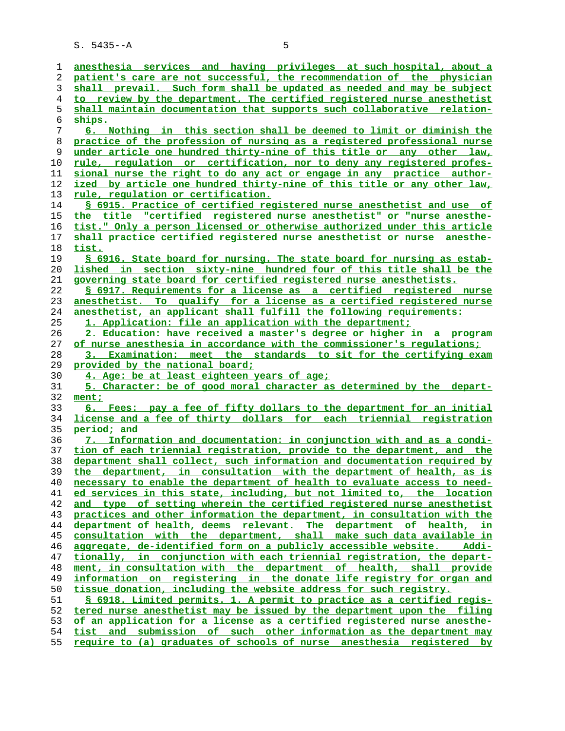| 1  | anesthesia services and having privileges at such hospital, about a           |
|----|-------------------------------------------------------------------------------|
| 2  | patient's care are not successful, the recommendation of the physician        |
| 3  | shall prevail. Such form shall be updated as needed and may be subject        |
| 4  | to review by the department. The certified registered nurse anesthetist       |
| 5  | shall maintain documentation that supports such collaborative relation-       |
| 6  | ships.                                                                        |
| 7  | 6. Nothing in this section shall be deemed to limit or diminish the           |
| 8  | practice of the profession of nursing as a registered professional nurse      |
| 9  | under article one hundred thirty-nine of this title or any other law,         |
| 10 | <u>rule, regulation or certification, nor to deny any registered profes-</u>  |
| 11 | sional nurse the right to do any act or engage in any practice author-        |
| 12 | ized by article one hundred thirty-nine of this title or any other law,       |
| 13 | rule, regulation or certification.                                            |
| 14 | § 6915. Practice of certified registered nurse anesthetist and use of         |
| 15 | the title "certified registered nurse anesthetist" or "nurse anesthe-         |
| 16 | tist." Only a person licensed or otherwise authorized under this article      |
| 17 | shall practice certified registered nurse anesthetist or nurse anesthe-       |
| 18 | tist.                                                                         |
| 19 | § 6916. State board for nursing. The state board for nursing as estab-        |
| 20 | lished in section sixty-nine hundred four of this title shall be the          |
| 21 | governing state board for certified registered nurse anesthetists.            |
| 22 | § 6917. Requirements for a license as a certified registered nurse            |
| 23 | anesthetist. To qualify for a license as a certified registered nurse         |
| 24 | anesthetist, an applicant shall fulfill the following requirements:           |
| 25 | 1. Application: file an application with the department;                      |
| 26 | 2. Education: have received a master's degree or higher in a program          |
| 27 | of nurse anesthesia in accordance with the commissioner's requlations;        |
| 28 | 3. Examination: meet the standards to sit for the certifying exam             |
| 29 | provided by the national board;                                               |
| 30 | 4. Age: be at least eighteen years of age;                                    |
| 31 | 5. Character: be of good moral character as determined by the depart-         |
| 32 | ment;                                                                         |
| 33 | 6. Fees: pay a fee of fifty dollars to the department for an initial          |
| 34 | license and a fee of thirty dollars for each triennial registration           |
| 35 | period; and                                                                   |
| 36 | 7. Information and documentation: in conjunction with and as a condi-         |
| 37 | tion of each triennial registration, provide to the department, and the       |
| 38 | department shall collect, such information and documentation required by      |
| 39 | the department, in consultation with the department of health, as is          |
| 40 | necessary to enable the department of health to evaluate access to need-      |
| 41 | ed services in this state, including, but not limited to, the location        |
| 42 | and type of setting wherein the certified registered nurse anesthetist        |
| 43 | practices and other information the department, in consultation with the      |
| 44 | department of health, deems relevant. The department of health, in            |
| 45 | consultation with the department, shall make such data available in           |
| 46 | aggregate, de-identified form on a publicly accessible website.<br>-Addi      |
| 47 | tionally, in conjunction with each triennial registration, the depart-        |
| 48 | ment, in consultation with the department of health, shall provide            |
| 49 | information on registering in the donate life registry for organ and          |
| 50 | tissue donation, including the website address for such registry.             |
| 51 | <u>S 6918. Limited permits. 1. A permit to practice as a certified regis-</u> |
| 52 | tered nurse anesthetist may be issued by the department upon the filing       |
| 53 | of an application for a license as a certified registered nurse anesthe-      |
| 54 | tist and submission of such other information as the department may           |
|    |                                                                               |

**require to (a) graduates of schools of nurse anesthesia registered by**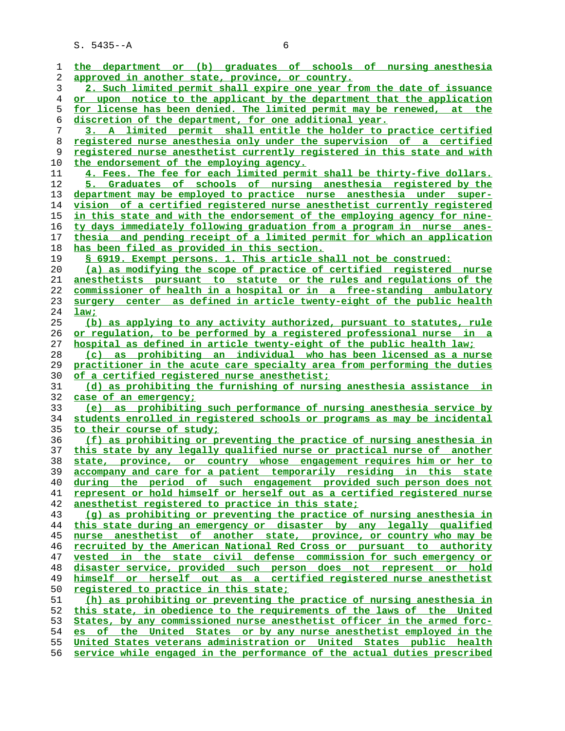| 1        | the department or (b) graduates of schools of nursing anesthesia                                                                                       |
|----------|--------------------------------------------------------------------------------------------------------------------------------------------------------|
| 2        | approved in another state, province, or country.                                                                                                       |
| 3        | 2. Such limited permit shall expire one year from the date of issuance                                                                                 |
| 4        | or upon notice to the applicant by the department that the application                                                                                 |
| 5        | for license has been denied. The limited permit may be renewed, at the                                                                                 |
| 6        | discretion of the department, for one additional year.                                                                                                 |
| 7        | 3. A limited permit shall entitle the holder to practice certified                                                                                     |
| 8        | registered nurse anesthesia only under the supervision of a certified                                                                                  |
| 9        | registered nurse anesthetist currently registered in this state and with                                                                               |
| 10       | the endorsement of the employing agency.                                                                                                               |
| 11       | 4. Fees. The fee for each limited permit shall be thirty-five dollars.                                                                                 |
| 12       | 5. Graduates of schools of nursing anesthesia registered by the                                                                                        |
| 13       | department may be employed to practice nurse anesthesia under super-                                                                                   |
| 14       | vision of a certified registered nurse anesthetist currently registered                                                                                |
| 15       | in this state and with the endorsement of the employing agency for nine-                                                                               |
| 16       | ty days immediately following graduation from a program in nurse anes-                                                                                 |
| 17       | thesia and pending receipt of a limited permit for which an application                                                                                |
| 18       | has been filed as provided in this section.                                                                                                            |
| 19       | § 6919. Exempt persons. 1. This article shall not be construed:                                                                                        |
| 20       | (a) as modifying the scope of practice of certified registered nurse                                                                                   |
| 21       | anesthetists pursuant to statute or the rules and requlations of the                                                                                   |
| 22       | commissioner of health in a hospital or in a free-standing ambulatory                                                                                  |
|          |                                                                                                                                                        |
| 23<br>24 | center as defined in article twenty-eight of the public health<br>surgery                                                                              |
| 25       | law;                                                                                                                                                   |
| 26       | (b) as applying to any activity authorized, pursuant to statutes, rule                                                                                 |
| 27       | <u>or regulation, to be performed by a registered professional nurse in a</u><br>hospital as defined in article twenty-eight of the public health law; |
| 28       | (c) as prohibiting an individual who has been licensed as a nurse                                                                                      |
| 29       | practitioner in the acute care specialty area from performing the duties                                                                               |
| 30       | of a certified registered nurse anesthetist;                                                                                                           |
| 31       | (d) as prohibiting the furnishing of nursing anesthesia assistance in                                                                                  |
| 32       | case of an emergency;                                                                                                                                  |
| 33       | (e) as prohibiting such performance of nursing anesthesia service by                                                                                   |
| 34       | students enrolled in registered schools or programs as may be incidental                                                                               |
| 35       | <u>to their course of study;</u>                                                                                                                       |
| 36       | (f) as prohibiting or preventing the practice of nursing anesthesia in                                                                                 |
| 37       | this state by any legally qualified nurse or practical nurse of another                                                                                |
| 38       | state, province, or country whose engagement requires him or her to                                                                                    |
| 39       | accompany and care for a patient temporarily residing in this state                                                                                    |
| 40       | during the period of such engagement provided such person does not                                                                                     |
| 41       | represent or hold himself or herself out as a certified registered nurse                                                                               |
| 42       | anesthetist registered to practice in this state;                                                                                                      |
| 43       | (g) as prohibiting or preventing the practice of nursing anesthesia in                                                                                 |
| 44       | this state during an emergency or disaster by any legally qualified                                                                                    |
| 45       | nurse anesthetist of another state, province, or country who may be                                                                                    |
| 46       | recruited by the American National Red Cross or pursuant to authority                                                                                  |
| 47       | vested in the state civil defense commission for such emergency or                                                                                     |
| 48       | disaster service, provided such person does not represent or hold                                                                                      |
| 49       | himself or herself out as a certified registered nurse anesthetist                                                                                     |
| 50       | registered to practice in this state;                                                                                                                  |
| 51       | (h) as prohibiting or preventing the practice of nursing anesthesia in                                                                                 |
| 52       | this state, in obedience to the requirements of the laws of the United                                                                                 |
| 53       | States, by any commissioned nurse anesthetist officer in the armed forc-                                                                               |
| 54       | es of the United States or by any nurse anesthetist employed in the                                                                                    |
| 55       | United States veterans administration or United States public health                                                                                   |
| 56       | service while engaged in the performance of the actual duties prescribed                                                                               |
|          |                                                                                                                                                        |